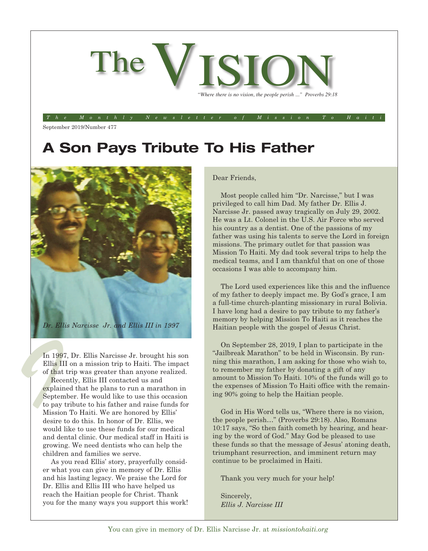

*The Monthly Newsletter of Mission To Haiti*

September 2019/Number 477

## **A Son Pays Tribute To His Father**



In 1997, Dr. Ellis Narcisse Jr. brought his son Ellis III on a mission trip to Haiti. The impact of that trip was greater than anyone realized.

In 199<br>Ellis II<br>of that<br>Rece<br>explain<br>Septen<br>to pay Recently, Ellis III contacted us and explained that he plans to run a marathon in September. He would like to use this occasion to pay tribute to his father and raise funds for Mission To Haiti. We are honored by Ellis' desire to do this. In honor of Dr. Ellis, we would like to use these funds for our medical and dental clinic. Our medical staff in Haiti is growing. We need dentists who can help the children and families we serve.

> As you read Ellis' story, prayerfully consider what you can give in memory of Dr. Ellis and his lasting legacy. We praise the Lord for Dr. Ellis and Ellis III who have helped us reach the Haitian people for Christ. Thank you for the many ways you support this work!

#### Dear Friends,

Most people called him "Dr. Narcisse," but I was privileged to call him Dad. My father Dr. Ellis J. Narcisse Jr. passed away tragically on July 29, 2002. He was a Lt. Colonel in the U.S. Air Force who served his country as a dentist. One of the passions of my father was using his talents to serve the Lord in foreign missions. The primary outlet for that passion was Mission To Haiti. My dad took several trips to help the medical teams, and I am thankful that on one of those occasions I was able to accompany him.

The Lord used experiences like this and the influence of my father to deeply impact me. By God's grace, I am a full-time church-planting missionary in rural Bolivia. I have long had a desire to pay tribute to my father's memory by helping Mission To Haiti as it reaches the Haitian people with the gospel of Jesus Christ.

On September 28, 2019, I plan to participate in the "Jailbreak Marathon" to be held in Wisconsin. By running this marathon, I am asking for those who wish to, to remember my father by donating a gift of any amount to Mission To Haiti. 10% of the funds will go to the expenses of Mission To Haiti office with the remaining 90% going to help the Haitian people.

God in His Word tells us, "Where there is no vision, the people perish…" (Proverbs 29:18). Also, Romans 10:17 says, "So then faith cometh by hearing, and hearing by the word of God." May God be pleased to use these funds so that the message of Jesus' atoning death, triumphant resurrection, and imminent return may continue to be proclaimed in Haiti.

Thank you very much for your help!

Sincerely, *Ellis J. Narcisse III*